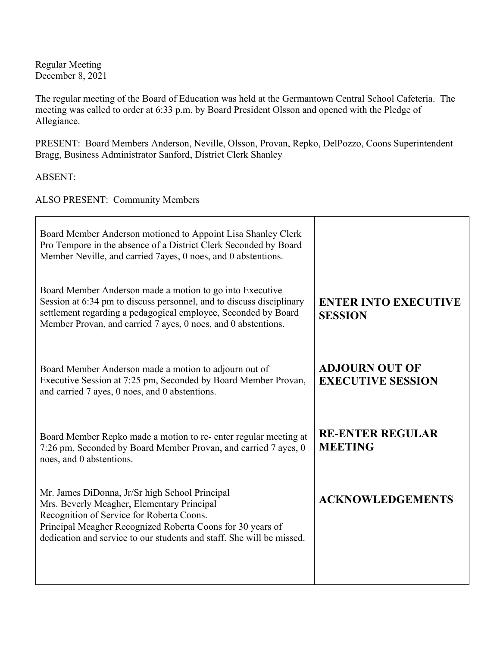Regular Meeting December 8, 2021

The regular meeting of the Board of Education was held at the Germantown Central School Cafeteria. The meeting was called to order at 6:33 p.m. by Board President Olsson and opened with the Pledge of Allegiance.

PRESENT: Board Members Anderson, Neville, Olsson, Provan, Repko, DelPozzo, Coons Superintendent Bragg, Business Administrator Sanford, District Clerk Shanley

ABSENT:

ALSO PRESENT: Community Members

| Board Member Anderson motioned to Appoint Lisa Shanley Clerk<br>Pro Tempore in the absence of a District Clerk Seconded by Board<br>Member Neville, and carried 7ayes, 0 noes, and 0 abstentions.                                                                                |                                                   |
|----------------------------------------------------------------------------------------------------------------------------------------------------------------------------------------------------------------------------------------------------------------------------------|---------------------------------------------------|
| Board Member Anderson made a motion to go into Executive<br>Session at 6:34 pm to discuss personnel, and to discuss disciplinary<br>settlement regarding a pedagogical employee, Seconded by Board<br>Member Provan, and carried 7 ayes, 0 noes, and 0 abstentions.              | <b>ENTER INTO EXECUTIVE</b><br><b>SESSION</b>     |
| Board Member Anderson made a motion to adjourn out of<br>Executive Session at 7:25 pm, Seconded by Board Member Provan,<br>and carried 7 ayes, 0 noes, and 0 abstentions.                                                                                                        | <b>ADJOURN OUT OF</b><br><b>EXECUTIVE SESSION</b> |
| Board Member Repko made a motion to re-enter regular meeting at<br>7:26 pm, Seconded by Board Member Provan, and carried 7 ayes, 0<br>noes, and 0 abstentions.                                                                                                                   | <b>RE-ENTER REGULAR</b><br><b>MEETING</b>         |
| Mr. James DiDonna, Jr/Sr high School Principal<br>Mrs. Beverly Meagher, Elementary Principal<br>Recognition of Service for Roberta Coons.<br>Principal Meagher Recognized Roberta Coons for 30 years of<br>dedication and service to our students and staff. She will be missed. | <b>ACKNOWLEDGEMENTS</b>                           |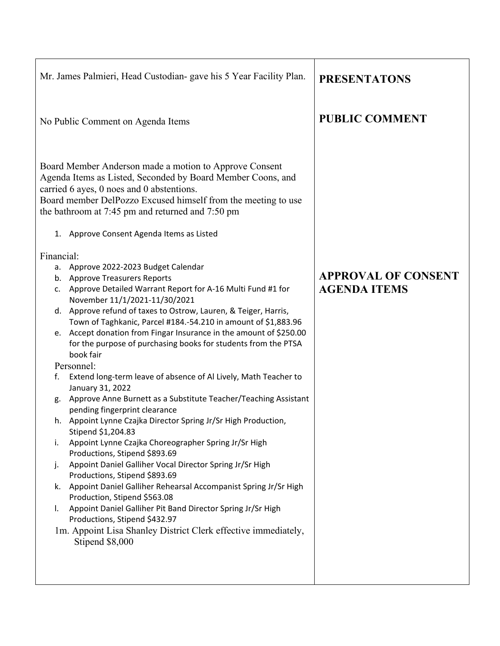| <b>PUBLIC COMMENT</b><br>No Public Comment on Agenda Items<br>Board Member Anderson made a motion to Approve Consent<br>Agenda Items as Listed, Seconded by Board Member Coons, and<br>carried 6 ayes, 0 noes and 0 abstentions.<br>Board member DelPozzo Excused himself from the meeting to use<br>the bathroom at 7:45 pm and returned and 7:50 pm<br>1. Approve Consent Agenda Items as Listed<br>Financial:<br>a. Approve 2022-2023 Budget Calendar<br><b>APPROVAL OF CONSENT</b><br>b. Approve Treasurers Reports<br><b>AGENDA ITEMS</b><br>c. Approve Detailed Warrant Report for A-16 Multi Fund #1 for<br>November 11/1/2021-11/30/2021<br>Approve refund of taxes to Ostrow, Lauren, & Teiger, Harris,<br>d.<br>Town of Taghkanic, Parcel #184.-54.210 in amount of \$1,883.96<br>Accept donation from Fingar Insurance in the amount of \$250.00<br>е.<br>for the purpose of purchasing books for students from the PTSA<br>book fair<br>Personnel:<br>Extend long-term leave of absence of Al Lively, Math Teacher to<br>f.<br>January 31, 2022<br>Approve Anne Burnett as a Substitute Teacher/Teaching Assistant<br>g.<br>pending fingerprint clearance<br>h. Appoint Lynne Czajka Director Spring Jr/Sr High Production,<br>Stipend \$1,204.83<br>Appoint Lynne Czajka Choreographer Spring Jr/Sr High<br>i.<br>Productions, Stipend \$893.69<br>Appoint Daniel Galliher Vocal Director Spring Jr/Sr High<br>j.<br>Productions, Stipend \$893.69<br>Appoint Daniel Galliher Rehearsal Accompanist Spring Jr/Sr High<br>k.<br>Production, Stipend \$563.08<br>Appoint Daniel Galliher Pit Band Director Spring Jr/Sr High<br>Ι.<br>Productions, Stipend \$432.97<br>1m. Appoint Lisa Shanley District Clerk effective immediately,<br>Stipend \$8,000 | Mr. James Palmieri, Head Custodian- gave his 5 Year Facility Plan. | <b>PRESENTATONS</b> |
|---------------------------------------------------------------------------------------------------------------------------------------------------------------------------------------------------------------------------------------------------------------------------------------------------------------------------------------------------------------------------------------------------------------------------------------------------------------------------------------------------------------------------------------------------------------------------------------------------------------------------------------------------------------------------------------------------------------------------------------------------------------------------------------------------------------------------------------------------------------------------------------------------------------------------------------------------------------------------------------------------------------------------------------------------------------------------------------------------------------------------------------------------------------------------------------------------------------------------------------------------------------------------------------------------------------------------------------------------------------------------------------------------------------------------------------------------------------------------------------------------------------------------------------------------------------------------------------------------------------------------------------------------------------------------------------------------------------------------------------------------------------------|--------------------------------------------------------------------|---------------------|
|                                                                                                                                                                                                                                                                                                                                                                                                                                                                                                                                                                                                                                                                                                                                                                                                                                                                                                                                                                                                                                                                                                                                                                                                                                                                                                                                                                                                                                                                                                                                                                                                                                                                                                                                                                     |                                                                    |                     |
|                                                                                                                                                                                                                                                                                                                                                                                                                                                                                                                                                                                                                                                                                                                                                                                                                                                                                                                                                                                                                                                                                                                                                                                                                                                                                                                                                                                                                                                                                                                                                                                                                                                                                                                                                                     |                                                                    |                     |
|                                                                                                                                                                                                                                                                                                                                                                                                                                                                                                                                                                                                                                                                                                                                                                                                                                                                                                                                                                                                                                                                                                                                                                                                                                                                                                                                                                                                                                                                                                                                                                                                                                                                                                                                                                     |                                                                    |                     |
|                                                                                                                                                                                                                                                                                                                                                                                                                                                                                                                                                                                                                                                                                                                                                                                                                                                                                                                                                                                                                                                                                                                                                                                                                                                                                                                                                                                                                                                                                                                                                                                                                                                                                                                                                                     |                                                                    |                     |
|                                                                                                                                                                                                                                                                                                                                                                                                                                                                                                                                                                                                                                                                                                                                                                                                                                                                                                                                                                                                                                                                                                                                                                                                                                                                                                                                                                                                                                                                                                                                                                                                                                                                                                                                                                     |                                                                    |                     |
|                                                                                                                                                                                                                                                                                                                                                                                                                                                                                                                                                                                                                                                                                                                                                                                                                                                                                                                                                                                                                                                                                                                                                                                                                                                                                                                                                                                                                                                                                                                                                                                                                                                                                                                                                                     |                                                                    |                     |
|                                                                                                                                                                                                                                                                                                                                                                                                                                                                                                                                                                                                                                                                                                                                                                                                                                                                                                                                                                                                                                                                                                                                                                                                                                                                                                                                                                                                                                                                                                                                                                                                                                                                                                                                                                     |                                                                    |                     |
|                                                                                                                                                                                                                                                                                                                                                                                                                                                                                                                                                                                                                                                                                                                                                                                                                                                                                                                                                                                                                                                                                                                                                                                                                                                                                                                                                                                                                                                                                                                                                                                                                                                                                                                                                                     |                                                                    |                     |
|                                                                                                                                                                                                                                                                                                                                                                                                                                                                                                                                                                                                                                                                                                                                                                                                                                                                                                                                                                                                                                                                                                                                                                                                                                                                                                                                                                                                                                                                                                                                                                                                                                                                                                                                                                     |                                                                    |                     |
|                                                                                                                                                                                                                                                                                                                                                                                                                                                                                                                                                                                                                                                                                                                                                                                                                                                                                                                                                                                                                                                                                                                                                                                                                                                                                                                                                                                                                                                                                                                                                                                                                                                                                                                                                                     |                                                                    |                     |
|                                                                                                                                                                                                                                                                                                                                                                                                                                                                                                                                                                                                                                                                                                                                                                                                                                                                                                                                                                                                                                                                                                                                                                                                                                                                                                                                                                                                                                                                                                                                                                                                                                                                                                                                                                     |                                                                    |                     |
|                                                                                                                                                                                                                                                                                                                                                                                                                                                                                                                                                                                                                                                                                                                                                                                                                                                                                                                                                                                                                                                                                                                                                                                                                                                                                                                                                                                                                                                                                                                                                                                                                                                                                                                                                                     |                                                                    |                     |
|                                                                                                                                                                                                                                                                                                                                                                                                                                                                                                                                                                                                                                                                                                                                                                                                                                                                                                                                                                                                                                                                                                                                                                                                                                                                                                                                                                                                                                                                                                                                                                                                                                                                                                                                                                     |                                                                    |                     |
|                                                                                                                                                                                                                                                                                                                                                                                                                                                                                                                                                                                                                                                                                                                                                                                                                                                                                                                                                                                                                                                                                                                                                                                                                                                                                                                                                                                                                                                                                                                                                                                                                                                                                                                                                                     |                                                                    |                     |
|                                                                                                                                                                                                                                                                                                                                                                                                                                                                                                                                                                                                                                                                                                                                                                                                                                                                                                                                                                                                                                                                                                                                                                                                                                                                                                                                                                                                                                                                                                                                                                                                                                                                                                                                                                     |                                                                    |                     |
|                                                                                                                                                                                                                                                                                                                                                                                                                                                                                                                                                                                                                                                                                                                                                                                                                                                                                                                                                                                                                                                                                                                                                                                                                                                                                                                                                                                                                                                                                                                                                                                                                                                                                                                                                                     |                                                                    |                     |
|                                                                                                                                                                                                                                                                                                                                                                                                                                                                                                                                                                                                                                                                                                                                                                                                                                                                                                                                                                                                                                                                                                                                                                                                                                                                                                                                                                                                                                                                                                                                                                                                                                                                                                                                                                     |                                                                    |                     |
|                                                                                                                                                                                                                                                                                                                                                                                                                                                                                                                                                                                                                                                                                                                                                                                                                                                                                                                                                                                                                                                                                                                                                                                                                                                                                                                                                                                                                                                                                                                                                                                                                                                                                                                                                                     |                                                                    |                     |
|                                                                                                                                                                                                                                                                                                                                                                                                                                                                                                                                                                                                                                                                                                                                                                                                                                                                                                                                                                                                                                                                                                                                                                                                                                                                                                                                                                                                                                                                                                                                                                                                                                                                                                                                                                     |                                                                    |                     |
|                                                                                                                                                                                                                                                                                                                                                                                                                                                                                                                                                                                                                                                                                                                                                                                                                                                                                                                                                                                                                                                                                                                                                                                                                                                                                                                                                                                                                                                                                                                                                                                                                                                                                                                                                                     |                                                                    |                     |
|                                                                                                                                                                                                                                                                                                                                                                                                                                                                                                                                                                                                                                                                                                                                                                                                                                                                                                                                                                                                                                                                                                                                                                                                                                                                                                                                                                                                                                                                                                                                                                                                                                                                                                                                                                     |                                                                    |                     |
|                                                                                                                                                                                                                                                                                                                                                                                                                                                                                                                                                                                                                                                                                                                                                                                                                                                                                                                                                                                                                                                                                                                                                                                                                                                                                                                                                                                                                                                                                                                                                                                                                                                                                                                                                                     |                                                                    |                     |
|                                                                                                                                                                                                                                                                                                                                                                                                                                                                                                                                                                                                                                                                                                                                                                                                                                                                                                                                                                                                                                                                                                                                                                                                                                                                                                                                                                                                                                                                                                                                                                                                                                                                                                                                                                     |                                                                    |                     |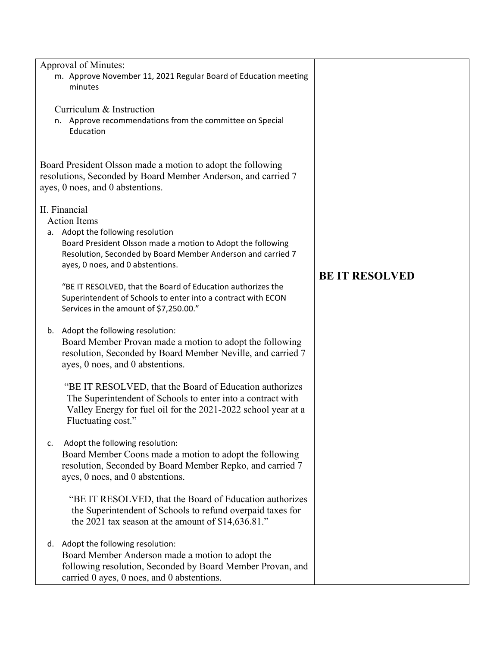| n.            | Approval of Minutes:<br>m. Approve November 11, 2021 Regular Board of Education meeting<br>minutes<br>Curriculum & Instruction<br>Approve recommendations from the committee on Special<br>Education                                                                                                                                                                                                |                       |
|---------------|-----------------------------------------------------------------------------------------------------------------------------------------------------------------------------------------------------------------------------------------------------------------------------------------------------------------------------------------------------------------------------------------------------|-----------------------|
|               | Board President Olsson made a motion to adopt the following<br>resolutions, Seconded by Board Member Anderson, and carried 7<br>ayes, 0 noes, and 0 abstentions.                                                                                                                                                                                                                                    |                       |
| II. Financial | <b>Action Items</b><br>a. Adopt the following resolution<br>Board President Olsson made a motion to Adopt the following<br>Resolution, Seconded by Board Member Anderson and carried 7<br>ayes, 0 noes, and 0 abstentions.<br>"BE IT RESOLVED, that the Board of Education authorizes the<br>Superintendent of Schools to enter into a contract with ECON<br>Services in the amount of \$7,250.00." | <b>BE IT RESOLVED</b> |
| b.            | Adopt the following resolution:<br>Board Member Provan made a motion to adopt the following<br>resolution, Seconded by Board Member Neville, and carried 7<br>ayes, 0 noes, and 0 abstentions.                                                                                                                                                                                                      |                       |
|               | "BE IT RESOLVED, that the Board of Education authorizes<br>The Superintendent of Schools to enter into a contract with<br>Valley Energy for fuel oil for the 2021-2022 school year at a<br>Fluctuating cost."                                                                                                                                                                                       |                       |
| c.            | Adopt the following resolution:<br>Board Member Coons made a motion to adopt the following<br>resolution, Seconded by Board Member Repko, and carried 7<br>ayes, 0 noes, and 0 abstentions.                                                                                                                                                                                                         |                       |
|               | "BE IT RESOLVED, that the Board of Education authorizes<br>the Superintendent of Schools to refund overpaid taxes for<br>the 2021 tax season at the amount of \$14,636.81."                                                                                                                                                                                                                         |                       |
| d.            | Adopt the following resolution:<br>Board Member Anderson made a motion to adopt the<br>following resolution, Seconded by Board Member Provan, and<br>carried 0 ayes, 0 noes, and 0 abstentions.                                                                                                                                                                                                     |                       |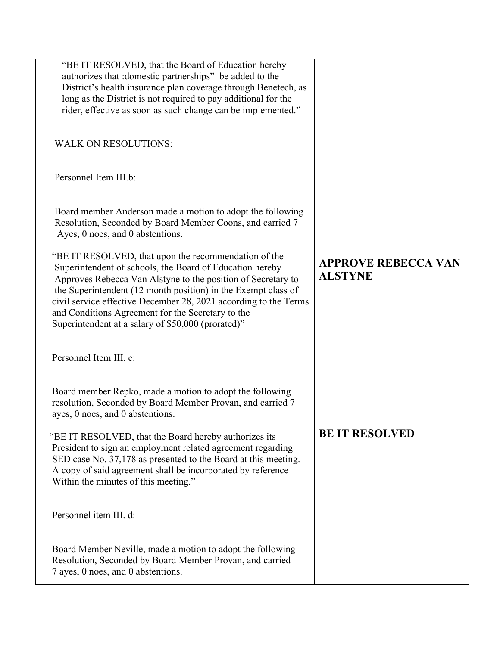| "BE IT RESOLVED, that the Board of Education hereby<br>authorizes that : domestic partnerships" be added to the<br>District's health insurance plan coverage through Benetech, as<br>long as the District is not required to pay additional for the<br>rider, effective as soon as such change can be implemented."                                                                                                              |                                              |
|----------------------------------------------------------------------------------------------------------------------------------------------------------------------------------------------------------------------------------------------------------------------------------------------------------------------------------------------------------------------------------------------------------------------------------|----------------------------------------------|
| <b>WALK ON RESOLUTIONS:</b>                                                                                                                                                                                                                                                                                                                                                                                                      |                                              |
| Personnel Item III.b:                                                                                                                                                                                                                                                                                                                                                                                                            |                                              |
| Board member Anderson made a motion to adopt the following<br>Resolution, Seconded by Board Member Coons, and carried 7<br>Ayes, 0 noes, and 0 abstentions.                                                                                                                                                                                                                                                                      |                                              |
| "BE IT RESOLVED, that upon the recommendation of the<br>Superintendent of schools, the Board of Education hereby<br>Approves Rebecca Van Alstyne to the position of Secretary to<br>the Superintendent (12 month position) in the Exempt class of<br>civil service effective December 28, 2021 according to the Terms<br>and Conditions Agreement for the Secretary to the<br>Superintendent at a salary of \$50,000 (prorated)" | <b>APPROVE REBECCA VAN</b><br><b>ALSTYNE</b> |
| Personnel Item III. c:                                                                                                                                                                                                                                                                                                                                                                                                           |                                              |
| Board member Repko, made a motion to adopt the following<br>resolution, Seconded by Board Member Provan, and carried 7<br>ayes, 0 noes, and 0 abstentions.                                                                                                                                                                                                                                                                       |                                              |
| "BE IT RESOLVED, that the Board hereby authorizes its<br>President to sign an employment related agreement regarding<br>SED case No. 37,178 as presented to the Board at this meeting.<br>A copy of said agreement shall be incorporated by reference<br>Within the minutes of this meeting."                                                                                                                                    | <b>BE IT RESOLVED</b>                        |
| Personnel item III. d:                                                                                                                                                                                                                                                                                                                                                                                                           |                                              |
| Board Member Neville, made a motion to adopt the following<br>Resolution, Seconded by Board Member Provan, and carried<br>7 ayes, 0 noes, and 0 abstentions.                                                                                                                                                                                                                                                                     |                                              |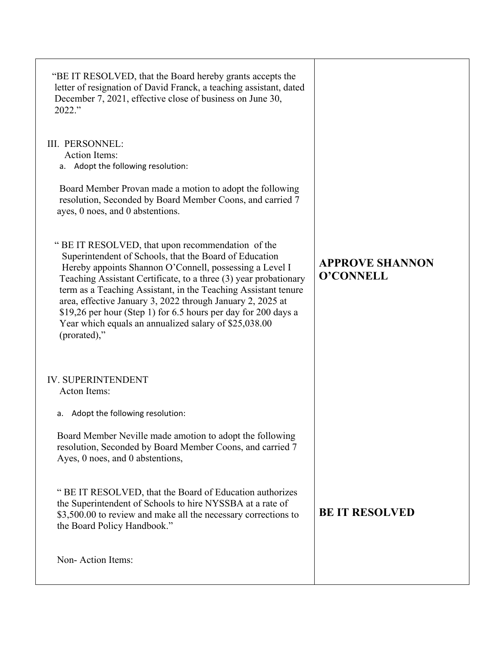| "BE IT RESOLVED, that the Board hereby grants accepts the<br>letter of resignation of David Franck, a teaching assistant, dated<br>December 7, 2021, effective close of business on June 30,<br>2022."                                                                                                                                                                                                                                                                                                                |                                     |
|-----------------------------------------------------------------------------------------------------------------------------------------------------------------------------------------------------------------------------------------------------------------------------------------------------------------------------------------------------------------------------------------------------------------------------------------------------------------------------------------------------------------------|-------------------------------------|
| III. PERSONNEL:<br><b>Action Items:</b><br>a. Adopt the following resolution:                                                                                                                                                                                                                                                                                                                                                                                                                                         |                                     |
| Board Member Provan made a motion to adopt the following<br>resolution, Seconded by Board Member Coons, and carried 7<br>ayes, 0 noes, and 0 abstentions.                                                                                                                                                                                                                                                                                                                                                             |                                     |
| " BE IT RESOLVED, that upon recommendation of the<br>Superintendent of Schools, that the Board of Education<br>Hereby appoints Shannon O'Connell, possessing a Level I<br>Teaching Assistant Certificate, to a three (3) year probationary<br>term as a Teaching Assistant, in the Teaching Assistant tenure<br>area, effective January 3, 2022 through January 2, 2025 at<br>\$19,26 per hour (Step 1) for 6.5 hours per day for 200 days a<br>Year which equals an annualized salary of \$25,038.00<br>(prorated)," | <b>APPROVE SHANNON</b><br>O'CONNELL |
| <b>IV. SUPERINTENDENT</b><br>Acton Items:                                                                                                                                                                                                                                                                                                                                                                                                                                                                             |                                     |
| Adopt the following resolution:<br>a.                                                                                                                                                                                                                                                                                                                                                                                                                                                                                 |                                     |
| Board Member Neville made amotion to adopt the following<br>resolution, Seconded by Board Member Coons, and carried 7<br>Ayes, 0 noes, and 0 abstentions,                                                                                                                                                                                                                                                                                                                                                             |                                     |
| " BE IT RESOLVED, that the Board of Education authorizes<br>the Superintendent of Schools to hire NYSSBA at a rate of<br>\$3,500.00 to review and make all the necessary corrections to<br>the Board Policy Handbook."                                                                                                                                                                                                                                                                                                | <b>BE IT RESOLVED</b>               |
| Non-Action Items:                                                                                                                                                                                                                                                                                                                                                                                                                                                                                                     |                                     |